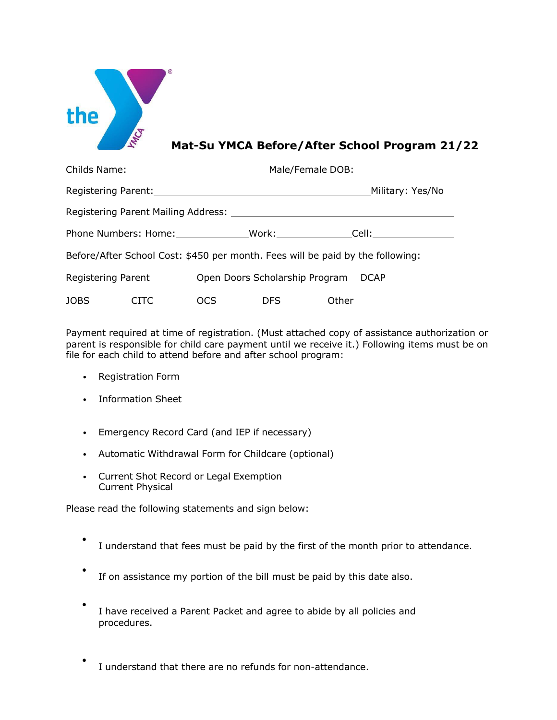

## **Mat-Su YMCA Before/After School Program 21/22**

|                                                                                    |             |            |                                     | Male/Female DOB: ____________________ |                  |  |  |
|------------------------------------------------------------------------------------|-------------|------------|-------------------------------------|---------------------------------------|------------------|--|--|
|                                                                                    |             |            |                                     |                                       | Military: Yes/No |  |  |
| Registering Parent Mailing Address: National Parameters of the Mail September 2014 |             |            |                                     |                                       |                  |  |  |
| Phone Numbers: Home: Work: Cell: Cell:                                             |             |            |                                     |                                       |                  |  |  |
| Before/After School Cost: \$450 per month. Fees will be paid by the following:     |             |            |                                     |                                       |                  |  |  |
| Registering Parent                                                                 |             |            | Open Doors Scholarship Program DCAP |                                       |                  |  |  |
| JOBS                                                                               | <b>CITC</b> | <b>OCS</b> | <b>DFS</b>                          | Other                                 |                  |  |  |

Payment required at time of registration. (Must attached copy of assistance authorization or parent is responsible for child care payment until we receive it.) Following items must be on file for each child to attend before and after school program:

- Registration Form
- Information Sheet
- Emergency Record Card (and IEP if necessary)
- Automatic Withdrawal Form for Childcare (optional)
- Current Shot Record or Legal Exemption Current Physical

Please read the following statements and sign below:

- I understand that fees must be paid by the first of the month prior to attendance.
- If on assistance my portion of the bill must be paid by this date also.
- <sup>I</sup> have received <sup>a</sup> Parent Packet and agree to abide by all policies and procedures.
- I understand that there are no refunds for non-attendance.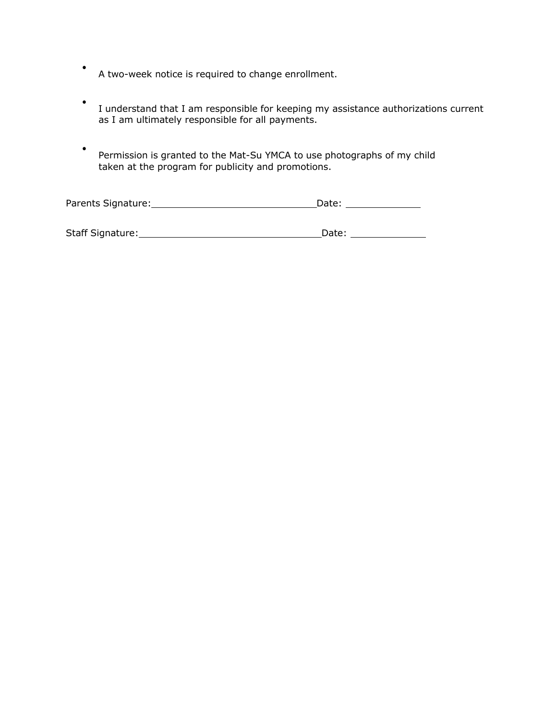- <sup>A</sup> two-week notice is required to change enrollment.
- <sup>I</sup> understand that <sup>I</sup> am responsible for keeping my assistance authorizations current as I am ultimately responsible for all payments.
- Permission is granted to the Mat-Su YMCA to use photographs of my child taken at the program for publicity and promotions.

| Parents Signature: | Date: |
|--------------------|-------|
|                    |       |

| Staff Signature: | Date: |
|------------------|-------|
|------------------|-------|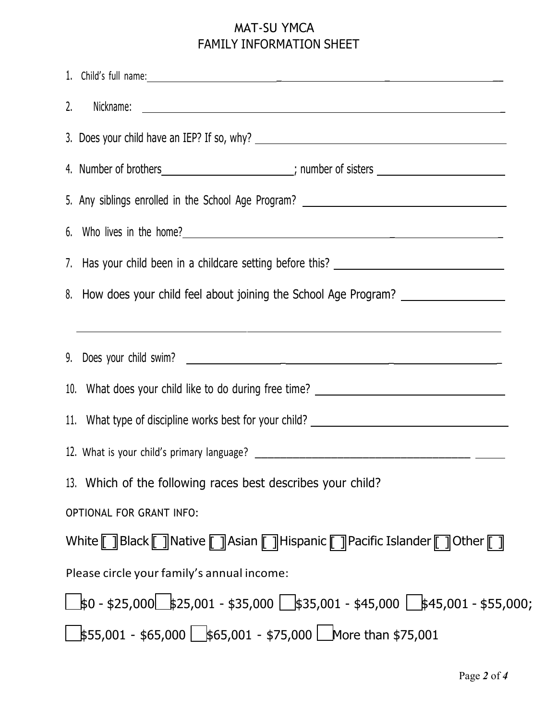## MAT-SU YMCA FAMILY INFORMATION SHEET

| 1. Child's full name: <u>contract and contract and contract and contract and contract and contract and contract and contract and contract and contract and contract and contract and contract and contract and contract and cont</u> |  |  |  |  |  |
|--------------------------------------------------------------------------------------------------------------------------------------------------------------------------------------------------------------------------------------|--|--|--|--|--|
| 2.                                                                                                                                                                                                                                   |  |  |  |  |  |
|                                                                                                                                                                                                                                      |  |  |  |  |  |
| 4. Number of brothers________________________; number of sisters ________________                                                                                                                                                    |  |  |  |  |  |
| 5. Any siblings enrolled in the School Age Program? _____________________________                                                                                                                                                    |  |  |  |  |  |
|                                                                                                                                                                                                                                      |  |  |  |  |  |
| 7. Has your child been in a childcare setting before this? ______________________                                                                                                                                                    |  |  |  |  |  |
| 8. How does your child feel about joining the School Age Program?                                                                                                                                                                    |  |  |  |  |  |
| <u> 1989 - Johann Stoff, deutscher Stoff, der Stoff, der Stoff, der Stoff, der Stoff, der Stoff, der Stoff, der S</u>                                                                                                                |  |  |  |  |  |
|                                                                                                                                                                                                                                      |  |  |  |  |  |
| 10. What does your child like to do during free time? __________________________                                                                                                                                                     |  |  |  |  |  |
| 11. What type of discipline works best for your child? __________________________                                                                                                                                                    |  |  |  |  |  |
|                                                                                                                                                                                                                                      |  |  |  |  |  |
| 13. Which of the following races best describes your child?                                                                                                                                                                          |  |  |  |  |  |
| <b>OPTIONAL FOR GRANT INFO:</b>                                                                                                                                                                                                      |  |  |  |  |  |
| White [ ] Black [ ] Native [ ] Asian [ ] Hispanic [ ] Pacific Islander [ ] Other [ ]                                                                                                                                                 |  |  |  |  |  |
| Please circle your family's annual income:                                                                                                                                                                                           |  |  |  |  |  |
|                                                                                                                                                                                                                                      |  |  |  |  |  |
|                                                                                                                                                                                                                                      |  |  |  |  |  |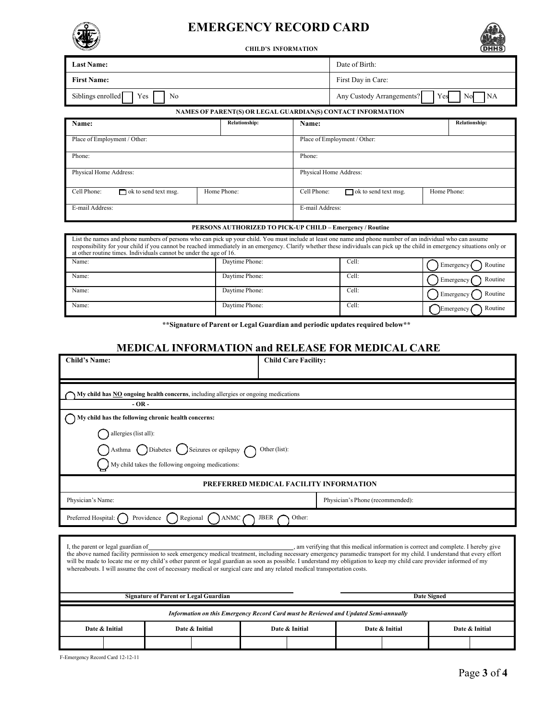

## **EMERGENCY RECORD CARD**





| <b>Last Name:</b>                                                                                                                                                                                                                                                                                                                                                                                                |                                                             | Date of Birth:                |                                              |                      |  |  |
|------------------------------------------------------------------------------------------------------------------------------------------------------------------------------------------------------------------------------------------------------------------------------------------------------------------------------------------------------------------------------------------------------------------|-------------------------------------------------------------|-------------------------------|----------------------------------------------|----------------------|--|--|
| <b>First Name:</b>                                                                                                                                                                                                                                                                                                                                                                                               |                                                             | First Day in Care:            |                                              |                      |  |  |
| Siblings enrolled<br>No<br>Yes                                                                                                                                                                                                                                                                                                                                                                                   |                                                             |                               | NA<br>Any Custody Arrangements?<br>No<br>Yes |                      |  |  |
|                                                                                                                                                                                                                                                                                                                                                                                                                  | NAMES OF PARENT(S) OR LEGAL GUARDIAN(S) CONTACT INFORMATION |                               |                                              |                      |  |  |
| Name:                                                                                                                                                                                                                                                                                                                                                                                                            | <b>Relationship:</b>                                        | <b>Relationship:</b><br>Name: |                                              |                      |  |  |
| Place of Employment / Other:                                                                                                                                                                                                                                                                                                                                                                                     |                                                             |                               | Place of Employment / Other:                 |                      |  |  |
| Phone:                                                                                                                                                                                                                                                                                                                                                                                                           |                                                             |                               | Phone:                                       |                      |  |  |
| Physical Home Address:                                                                                                                                                                                                                                                                                                                                                                                           |                                                             |                               | Physical Home Address:                       |                      |  |  |
| Cell Phone:<br>$\Box$ ok to send text msg.                                                                                                                                                                                                                                                                                                                                                                       | Home Phone:                                                 | Cell Phone:                   | $\Box$ ok to send text msg.<br>Home Phone:   |                      |  |  |
| E-mail Address:                                                                                                                                                                                                                                                                                                                                                                                                  |                                                             |                               | E-mail Address:                              |                      |  |  |
| PERSONS AUTHORIZED TO PICK-UP CHILD – Emergency / Routine                                                                                                                                                                                                                                                                                                                                                        |                                                             |                               |                                              |                      |  |  |
| List the names and phone numbers of persons who can pick up your child. You must include at least one name and phone number of an individual who can assume<br>responsibility for your child if you cannot be reached immediately in an emergency. Clarify whether these individuals can pick up the child in emergency situations only or<br>at other routine times. Individuals cannot be under the age of 16. |                                                             |                               |                                              |                      |  |  |
| Name:                                                                                                                                                                                                                                                                                                                                                                                                            | Daytime Phone:                                              |                               | Cell:                                        | Routine<br>Emergency |  |  |
| Name:                                                                                                                                                                                                                                                                                                                                                                                                            | Daytime Phone:                                              |                               |                                              | Routine<br>Emergency |  |  |
| Name:                                                                                                                                                                                                                                                                                                                                                                                                            | Daytime Phone:                                              |                               |                                              | Routine<br>Emergency |  |  |
| Name:                                                                                                                                                                                                                                                                                                                                                                                                            | Daytime Phone:                                              |                               | Cell:                                        | Routine<br>Emergency |  |  |
| **Signature of Parent or Legal Guardian and periodic updates required below**                                                                                                                                                                                                                                                                                                                                    |                                                             |                               |                                              |                      |  |  |

**MEDICAL INFORMATION and RELEASE FOR MEDICAL CARE**

| <b>Child's Name:</b>                                                                                                                                                                                                                                                                                                                                                                                                                                                                                                                                                                                    |                                                                                      |                                                     |                                                                       |               | <b>Child Care Facility:</b> |                                  |  |  |  |
|---------------------------------------------------------------------------------------------------------------------------------------------------------------------------------------------------------------------------------------------------------------------------------------------------------------------------------------------------------------------------------------------------------------------------------------------------------------------------------------------------------------------------------------------------------------------------------------------------------|--------------------------------------------------------------------------------------|-----------------------------------------------------|-----------------------------------------------------------------------|---------------|-----------------------------|----------------------------------|--|--|--|
|                                                                                                                                                                                                                                                                                                                                                                                                                                                                                                                                                                                                         | My child has NO ongoing health concerns, including allergies or ongoing medications  |                                                     |                                                                       |               |                             |                                  |  |  |  |
|                                                                                                                                                                                                                                                                                                                                                                                                                                                                                                                                                                                                         | $-OR -$                                                                              |                                                     |                                                                       |               |                             |                                  |  |  |  |
|                                                                                                                                                                                                                                                                                                                                                                                                                                                                                                                                                                                                         |                                                                                      | My child has the following chronic health concerns: |                                                                       |               |                             |                                  |  |  |  |
|                                                                                                                                                                                                                                                                                                                                                                                                                                                                                                                                                                                                         | allergies (list all):                                                                |                                                     |                                                                       |               |                             |                                  |  |  |  |
|                                                                                                                                                                                                                                                                                                                                                                                                                                                                                                                                                                                                         |                                                                                      |                                                     | Asthma $\bigcirc$ Diabetes $\bigcirc$ Seizures or epilepsy $\bigcirc$ | Other (list): |                             |                                  |  |  |  |
|                                                                                                                                                                                                                                                                                                                                                                                                                                                                                                                                                                                                         | My child takes the following ongoing medications:                                    |                                                     |                                                                       |               |                             |                                  |  |  |  |
|                                                                                                                                                                                                                                                                                                                                                                                                                                                                                                                                                                                                         | PREFERRED MEDICAL FACILITY INFORMATION                                               |                                                     |                                                                       |               |                             |                                  |  |  |  |
|                                                                                                                                                                                                                                                                                                                                                                                                                                                                                                                                                                                                         | Physician's Name:<br>Physician's Phone (recommended):                                |                                                     |                                                                       |               |                             |                                  |  |  |  |
| Preferred Hospital: (<br>Providence<br>Regional<br><b>ANMC</b><br><b>JBER</b><br>Other:                                                                                                                                                                                                                                                                                                                                                                                                                                                                                                                 |                                                                                      |                                                     |                                                                       |               |                             |                                  |  |  |  |
|                                                                                                                                                                                                                                                                                                                                                                                                                                                                                                                                                                                                         |                                                                                      |                                                     |                                                                       |               |                             |                                  |  |  |  |
| , am verifying that this medical information is correct and complete. I hereby give<br>I, the parent or legal guardian of<br>the above named facility permission to seek emergency medical treatment, including necessary emergency paramedic transport for my child. I understand that every effort<br>will be made to locate me or my child's other parent or legal guardian as soon as possible. I understand my obligation to keep my child care provider informed of my<br>whereabouts. I will assume the cost of necessary medical or surgical care and any related medical transportation costs. |                                                                                      |                                                     |                                                                       |               |                             |                                  |  |  |  |
| <b>Signature of Parent or Legal Guardian</b><br><b>Date Signed</b>                                                                                                                                                                                                                                                                                                                                                                                                                                                                                                                                      |                                                                                      |                                                     |                                                                       |               |                             |                                  |  |  |  |
|                                                                                                                                                                                                                                                                                                                                                                                                                                                                                                                                                                                                         | Information on this Emergency Record Card must be Reviewed and Updated Semi-annually |                                                     |                                                                       |               |                             |                                  |  |  |  |
| Date & Initial                                                                                                                                                                                                                                                                                                                                                                                                                                                                                                                                                                                          |                                                                                      |                                                     | Date & Initial                                                        |               | Date & Initial              | Date & Initial<br>Date & Initial |  |  |  |
|                                                                                                                                                                                                                                                                                                                                                                                                                                                                                                                                                                                                         |                                                                                      |                                                     |                                                                       |               |                             |                                  |  |  |  |

F-Emergency Record Card 12-12-11